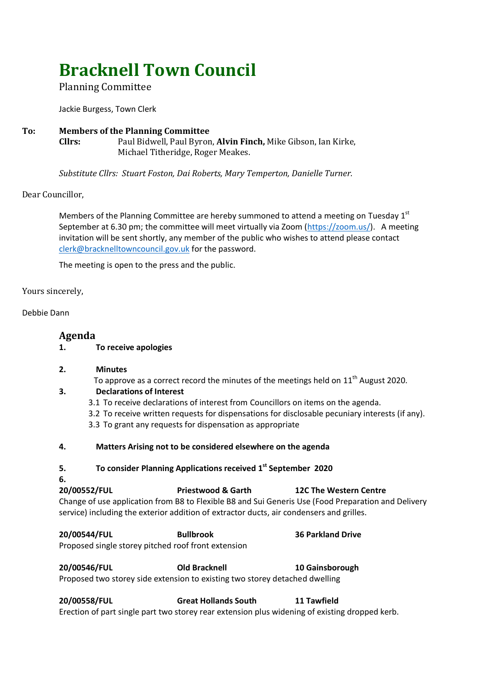# **Bracknell Town Council**

## Planning Committee

Jackie Burgess, Town Clerk

### **To: Members of the Planning Committee Cllrs:** Paul Bidwell, Paul Byron, **Alvin Finch,** Mike Gibson, Ian Kirke, Michael Titheridge, Roger Meakes.

*Substitute Cllrs: Stuart Foston, Dai Roberts, Mary Temperton, Danielle Turner.*

## Dear Councillor,

Members of the Planning Committee are hereby summoned to attend a meeting on Tuesday  $1<sup>st</sup>$ September at 6.30 pm; the committee will meet virtually via Zoom [\(https://zoom.us/\)](https://zoom.us/). A meeting invitation will be sent shortly, any member of the public who wishes to attend please contact [clerk@bracknelltowncouncil.gov.uk](mailto:clerk@bracknelltowncouncil.gov.uk) for the password.

The meeting is open to the press and the public.

#### Yours sincerely,

Debbie Dann

## **Agenda**

**1. To receive apologies** 

#### **2. Minutes**

To approve as a correct record the minutes of the meetings held on  $11<sup>th</sup>$  August 2020.

## **3. Declarations of Interest**

- 3.1 To receive declarations of interest from Councillors on items on the agenda.
- 3.2 To receive written requests for dispensations for disclosable pecuniary interests (if any).
- 3.3 To grant any requests for dispensation as appropriate

#### **4. Matters Arising not to be considered elsewhere on the agenda**

**5. To consider Planning Applications received 1 st September 2020**

#### **6.**

## **20/00552/FUL Priestwood & Garth 12C The Western Centre** Change of use application from B8 to Flexible B8 and Sui Generis Use (Food Preparation and Delivery service) including the exterior addition of extractor ducts, air condensers and grilles.

**20/00544/FUL Bullbrook 36 Parkland Drive**

Proposed single storey pitched roof front extension

**20/00546/FUL Old Bracknell 10 Gainsborough** Proposed two storey side extension to existing two storey detached dwelling

**20/00558/FUL Great Hollands South 11 Tawfield** Erection of part single part two storey rear extension plus widening of existing dropped kerb.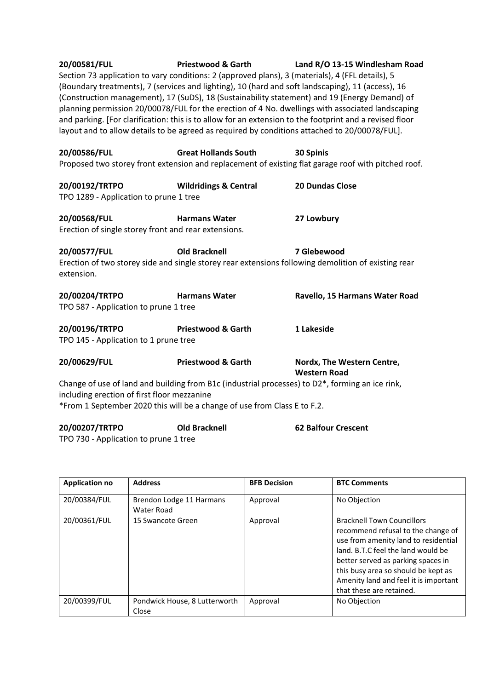| 20/00581/FUL<br><b>Priestwood &amp; Garth</b><br>Land R/O 13-15 Windlesham Road<br>Section 73 application to vary conditions: 2 (approved plans), 3 (materials), 4 (FFL details), 5<br>(Boundary treatments), 7 (services and lighting), 10 (hard and soft landscaping), 11 (access), 16<br>(Construction management), 17 (SuDS), 18 (Sustainability statement) and 19 (Energy Demand) of<br>planning permission 20/00078/FUL for the erection of 4 No. dwellings with associated landscaping<br>and parking. [For clarification: this is to allow for an extension to the footprint and a revised floor<br>layout and to allow details to be agreed as required by conditions attached to 20/00078/FUL]. |                                  |                                                                                                                  |  |  |  |
|-----------------------------------------------------------------------------------------------------------------------------------------------------------------------------------------------------------------------------------------------------------------------------------------------------------------------------------------------------------------------------------------------------------------------------------------------------------------------------------------------------------------------------------------------------------------------------------------------------------------------------------------------------------------------------------------------------------|----------------------------------|------------------------------------------------------------------------------------------------------------------|--|--|--|
| 20/00586/FUL                                                                                                                                                                                                                                                                                                                                                                                                                                                                                                                                                                                                                                                                                              | <b>Great Hollands South</b>      | 30 Spinis<br>Proposed two storey front extension and replacement of existing flat garage roof with pitched roof. |  |  |  |
| 20/00192/TRTPO<br>TPO 1289 - Application to prune 1 tree                                                                                                                                                                                                                                                                                                                                                                                                                                                                                                                                                                                                                                                  | <b>Wildridings &amp; Central</b> | 20 Dundas Close                                                                                                  |  |  |  |
| 20/00568/FUL<br>Erection of single storey front and rear extensions.                                                                                                                                                                                                                                                                                                                                                                                                                                                                                                                                                                                                                                      | <b>Harmans Water</b>             | 27 Lowbury                                                                                                       |  |  |  |
| 20/00577/FUL<br>7 Glebewood<br><b>Old Bracknell</b><br>Erection of two storey side and single storey rear extensions following demolition of existing rear<br>extension.                                                                                                                                                                                                                                                                                                                                                                                                                                                                                                                                  |                                  |                                                                                                                  |  |  |  |
| 20/00204/TRTPO<br>TPO 587 - Application to prune 1 tree                                                                                                                                                                                                                                                                                                                                                                                                                                                                                                                                                                                                                                                   | <b>Harmans Water</b>             | Ravello, 15 Harmans Water Road                                                                                   |  |  |  |
| 20/00196/TRTPO<br>TPO 145 - Application to 1 prune tree                                                                                                                                                                                                                                                                                                                                                                                                                                                                                                                                                                                                                                                   | <b>Priestwood &amp; Garth</b>    | 1 Lakeside                                                                                                       |  |  |  |
| 20/00629/FUL                                                                                                                                                                                                                                                                                                                                                                                                                                                                                                                                                                                                                                                                                              | <b>Priestwood &amp; Garth</b>    | Nordx, The Western Centre,<br><b>Western Road</b>                                                                |  |  |  |
| Change of use of land and building from B1c (industrial processes) to D2 <sup>*</sup> , forming an ice rink,<br>including erection of first floor mezzanine<br>*From 1 September 2020 this will be a change of use from Class E to F.2.                                                                                                                                                                                                                                                                                                                                                                                                                                                                   |                                  |                                                                                                                  |  |  |  |

| 20/00207/TRTPO                        | <b>Old Bracknell</b> | <b>62 Balfour Crescent</b> |
|---------------------------------------|----------------------|----------------------------|
| TPO 730 - Application to prune 1 tree |                      |                            |

| <b>Application no</b> | <b>Address</b>                         | <b>BFB Decision</b> | <b>BTC Comments</b>                                                                                                                                                                                                                                                                                     |
|-----------------------|----------------------------------------|---------------------|---------------------------------------------------------------------------------------------------------------------------------------------------------------------------------------------------------------------------------------------------------------------------------------------------------|
| 20/00384/FUL          | Brendon Lodge 11 Harmans<br>Water Road | Approval            | No Objection                                                                                                                                                                                                                                                                                            |
| 20/00361/FUL          | 15 Swancote Green                      | Approval            | <b>Bracknell Town Councillors</b><br>recommend refusal to the change of<br>use from amenity land to residential<br>land, B.T.C feel the land would be<br>better served as parking spaces in<br>this busy area so should be kept as<br>Amenity land and feel it is important<br>that these are retained. |
| 20/00399/FUL          | Pondwick House, 8 Lutterworth<br>Close | Approval            | No Objection                                                                                                                                                                                                                                                                                            |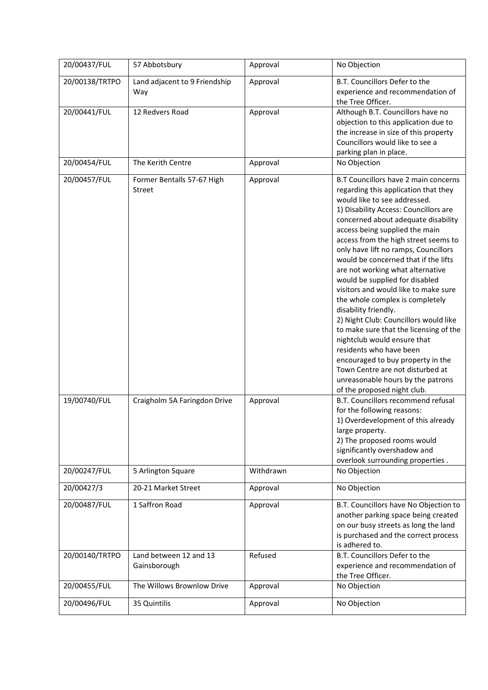| 20/00437/FUL   | 57 Abbotsbury                               | Approval  | No Objection                                                                                                                                                                                                                                                                                                                                                                                                                                                                                                                                                                                                                                                                                                                                                                                                              |
|----------------|---------------------------------------------|-----------|---------------------------------------------------------------------------------------------------------------------------------------------------------------------------------------------------------------------------------------------------------------------------------------------------------------------------------------------------------------------------------------------------------------------------------------------------------------------------------------------------------------------------------------------------------------------------------------------------------------------------------------------------------------------------------------------------------------------------------------------------------------------------------------------------------------------------|
| 20/00138/TRTPO | Land adjacent to 9 Friendship<br>Way        | Approval  | B.T. Councillors Defer to the<br>experience and recommendation of<br>the Tree Officer.                                                                                                                                                                                                                                                                                                                                                                                                                                                                                                                                                                                                                                                                                                                                    |
| 20/00441/FUL   | 12 Redvers Road                             | Approval  | Although B.T. Councillors have no<br>objection to this application due to<br>the increase in size of this property<br>Councillors would like to see a<br>parking plan in place.                                                                                                                                                                                                                                                                                                                                                                                                                                                                                                                                                                                                                                           |
| 20/00454/FUL   | The Kerith Centre                           | Approval  | No Objection                                                                                                                                                                                                                                                                                                                                                                                                                                                                                                                                                                                                                                                                                                                                                                                                              |
| 20/00457/FUL   | Former Bentalls 57-67 High<br><b>Street</b> | Approval  | B.T Councillors have 2 main concerns<br>regarding this application that they<br>would like to see addressed.<br>1) Disability Access: Councillors are<br>concerned about adequate disability<br>access being supplied the main<br>access from the high street seems to<br>only have lift no ramps, Councillors<br>would be concerned that if the lifts<br>are not working what alternative<br>would be supplied for disabled<br>visitors and would like to make sure<br>the whole complex is completely<br>disability friendly.<br>2) Night Club: Councillors would like<br>to make sure that the licensing of the<br>nightclub would ensure that<br>residents who have been<br>encouraged to buy property in the<br>Town Centre are not disturbed at<br>unreasonable hours by the patrons<br>of the proposed night club. |
| 19/00740/FUL   | Craigholm 5A Faringdon Drive                | Approval  | B.T. Councillors recommend refusal<br>for the following reasons:<br>1) Overdevelopment of this already<br>large property.<br>2) The proposed rooms would<br>significantly overshadow and<br>overlook surrounding properties.                                                                                                                                                                                                                                                                                                                                                                                                                                                                                                                                                                                              |
| 20/00247/FUL   | 5 Arlington Square                          | Withdrawn | No Objection                                                                                                                                                                                                                                                                                                                                                                                                                                                                                                                                                                                                                                                                                                                                                                                                              |
| 20/00427/3     | 20-21 Market Street                         | Approval  | No Objection                                                                                                                                                                                                                                                                                                                                                                                                                                                                                                                                                                                                                                                                                                                                                                                                              |
| 20/00487/FUL   | 1 Saffron Road                              | Approval  | B.T. Councillors have No Objection to<br>another parking space being created<br>on our busy streets as long the land<br>is purchased and the correct process<br>is adhered to.                                                                                                                                                                                                                                                                                                                                                                                                                                                                                                                                                                                                                                            |
| 20/00140/TRTPO | Land between 12 and 13<br>Gainsborough      | Refused   | B.T. Councillors Defer to the<br>experience and recommendation of<br>the Tree Officer.                                                                                                                                                                                                                                                                                                                                                                                                                                                                                                                                                                                                                                                                                                                                    |
| 20/00455/FUL   | The Willows Brownlow Drive                  | Approval  | No Objection                                                                                                                                                                                                                                                                                                                                                                                                                                                                                                                                                                                                                                                                                                                                                                                                              |
| 20/00496/FUL   | 35 Quintilis                                | Approval  | No Objection                                                                                                                                                                                                                                                                                                                                                                                                                                                                                                                                                                                                                                                                                                                                                                                                              |